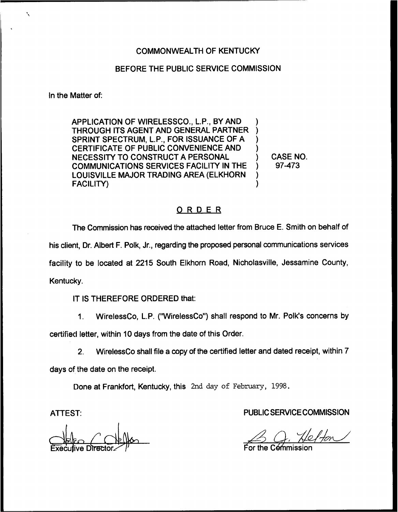## BEFORE THE PUBLIC SERVICE COMMISSION

In the Matter of:

APPLICATION OF WIRELESSCO., L.P., BY AND THROUGH ITS AGENT AND GENERAL PARTNER SPRINT SPECTRUM, L.P., FOR ISSUANCE OF A CERTIFICATE OF PUBLIC CONVENIENCE AND NECESSITY TO CONSTRUCT A PERSONAL COMMUNICATIONS SERVICES FACILITY IN THE LOUISVILLE MAJOR TRADING AREA (ELKHORN FACILITY) ) ) ) ) ) )

) CASE NO. ) 97-473

## ORDER

The Commission has received the attached letter from Bruce E. Smith on behalf of his client, Dr. Albert F. Polk, Jr., regarding the proposed personal communications services facility to be located at 2215 South Elkhorn Road, Nicholasville, Jessamine County, Kentucky.

IT IS THEREFORE ORDERED that:

1. WirelessCo, L.P. ("WirelessCo") shall respond to Mr. Polk's concerns by

certified letter, within 10 days from the date of this Order.

2. WirelessCo shall file a copy of the certified letter and dated receipt, within 7

days of the date on the receipt.

Done at Frankfort, Kentucky, this 2nd day of February, 1998.

ATTEST:

 $\frac{1}{\sqrt{\frac{1}{100}}\sqrt{\frac{1}{100}}}}$ Execu**ț**ive  $CD$ 

PUBLIC SERVICE COMMISSION

 $\cdot$ or the Cómmissio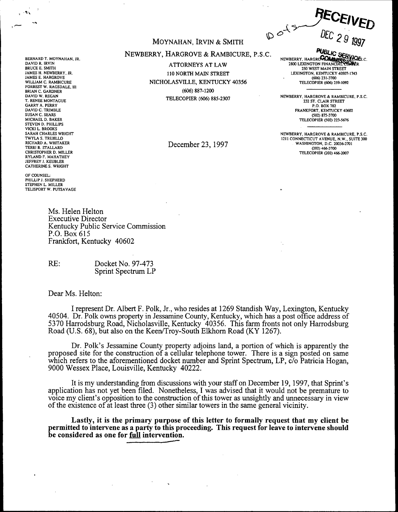**PECEIVED** DOLS

MOYNAHAN, IRVIN & SMITH

NEWBERRY, HARGROVE & RAMBICURE, P.S.C.

ATTORNEYS AT LAW 110 NORTH MAIN STREET NICHOLASVILLE, KENTUCKY 40356 (606) 887-1200 TELECOPIER (606) 885-2307

**PUBLIC** NEWBERRY, HARGROW CARRY BELONG C.<br>2800 LEXINGTON FINANCIAL CERRER 250 WEST MAIN STREET LEXINGTON, KENTUCKY 40507-1743 (606) 231-3700 TELECOPIER (606) 259-1092

NEWBERRY, HARGROVE & RAMBICURE, P.S.C. 232 ST. CLAIR STREET P.O. BOX 782 FRANKFORT, KENTUCKY 40602 (502) 875-3700 TELECOPIER (502) 223-5676

NEWBERRY, HARGROVE & RAMBICURE, P.S.C. 1211 CONNECTICUT AVENUE, N.W., SUITE 300 WASHINGTON, D.C. 20036-2701 (202) 466-3700 TELECOPIER (202) 466-2007

December 23, 1997

BERNARD T. MOYNAHAN, JR. DAVID R. IRVIN BRUCE E. SMITH JAMES H. NEWBERRY JP JAMES E. HARGROVE WILLIAM C. RAMBICURE FORREST W. RAGSDALE, HI BRIAN C. GARDNER DAVID W. REGAN T. RENEE MONTAGUE GARRY A. PERRY DAVID C. TRIMBLE SUSAN C. SEARS MICHAEL D. BAKER STEVEN D. PHILLIPS VICKI L. BROOKS SARAH CHARLES WRIGHT TWYLA S. TRUJILLO RICHARD A. WHITAKER TERRI R. STALLARD CHRISTOPHER D. MILLER RYLAND F. MAHATHEY JEFFREY J. KEUBLER CATHERINE S. WRIGHT

OF COUNSEL: PHILLIP J. SHEPHERD STEPHEN L. MILLER TELISPORT W. PUTSAVAGE

> Ms. Helen Helton Executive Director Kentucky Public Service Commission P.O. Box 615 Frankfort, Kentucky 40602

## $RE:$ Docket No. 97-473 Sprint Spectrum LP

Dear Ms. Helton:

I represent Dr. Albert F. Polk, Jr., who resides at 1269 Standish Way, Lexington, Kentucky 40504. Dr. Polk owns property in Jessamine County, Kentucky, which has a post office address of 5370 Harrodsburg Road, Nicholasville, Kentucky 40356. This farm fronts not only Harrodsburg Road (U.S. 68), but also on the Keen/Troy-South Elkhorn Road (KY 1267).

Dr. Polk's Jessamine County property adjoins land, a portion of which is apparently the proposed site for the construction of a cellular telephone tower. There is a sign posted on same which refers to the aforementioned docket number and Sprint Spectrum, LP,  $\bar{c}/\bar{o}$  Patricia Hogan, 9000 Wessex Place, Louisville, Kentucky 40222.

It is my understanding from discussions with your staff on December 19, 1997, that Sprint's application has not yet been filed. Nonetheless, I was advised that it would not be premature to voice my client's opposition to the construction ofthis tower as unsightly and unnecessary in view ofthe existence of at least three (3) other similar towers in the same general vicinity.

Lastly, it is the primary purpose of this letter to formally request that my client be permitted to intervene as a party to this proceeding. This request for leave to intervene should be considered as one for full intervention.